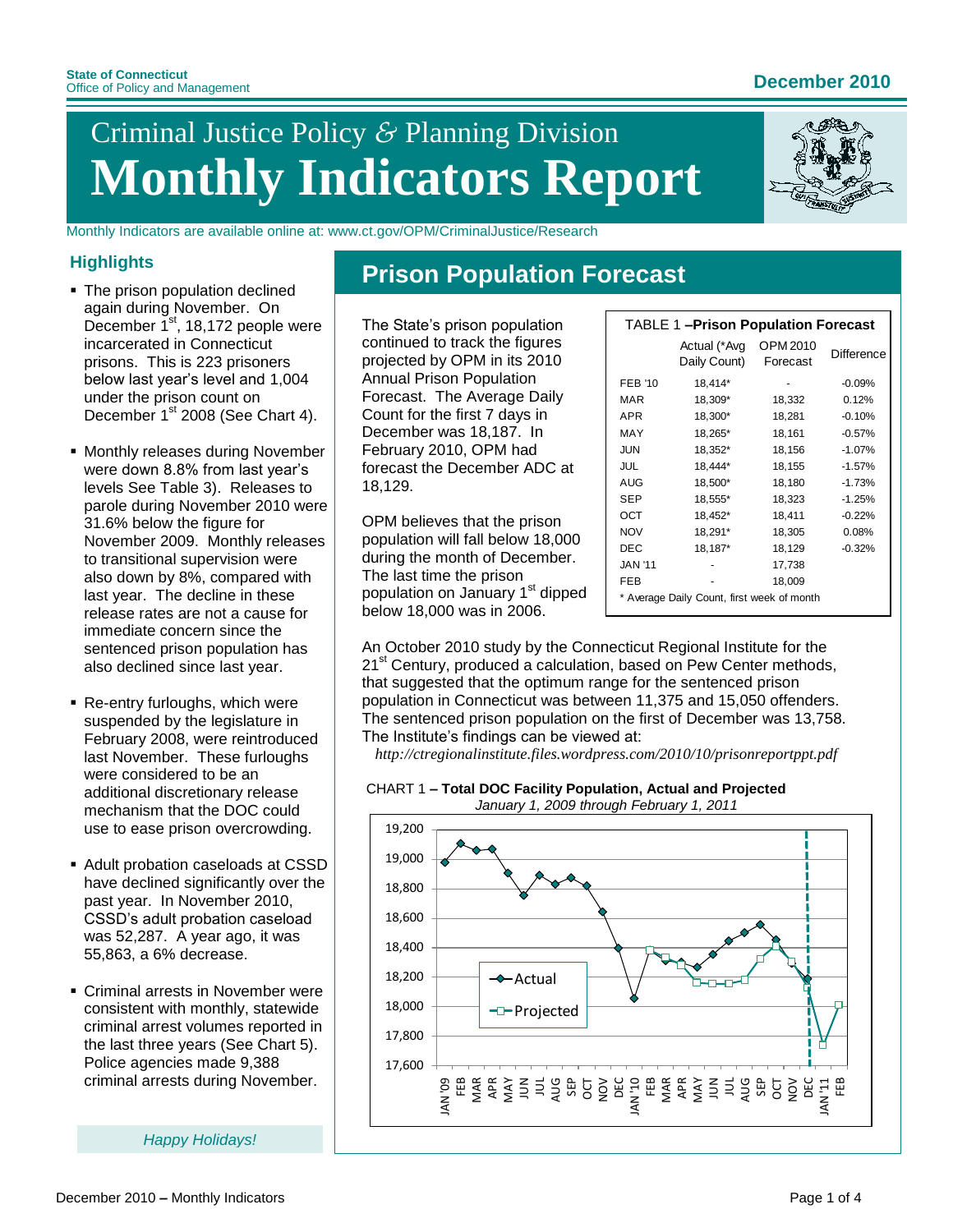# Criminal Justice Policy *&* Planning Division **Monthly Indicators Report**

Monthly Indicators are available online at: www.ct.gov/OPM/CriminalJustice/Research

### **Highlights**

- The prison population declined again during November. On December 1<sup>st</sup>, 18,172 people were incarcerated in Connecticut prisons. This is 223 prisoners below last year's level and 1,004 under the prison count on December 1<sup>st</sup> 2008 (See Chart 4).
- **Monthly releases during November** were down 8.8% from last year's levels See Table 3). Releases to parole during November 2010 were 31.6% below the figure for November 2009. Monthly releases to transitional supervision were also down by 8%, compared with last year. The decline in these release rates are not a cause for immediate concern since the sentenced prison population has also declined since last year.
- Re-entry furloughs, which were suspended by the legislature in February 2008, were reintroduced last November. These furloughs were considered to be an additional discretionary release mechanism that the DOC could use to ease prison overcrowding.
- Adult probation caseloads at CSSD have declined significantly over the past year. In November 2010, CSSD's adult probation caseload was 52,287. A year ago, it was 55,863, a 6% decrease.
- Criminal arrests in November were consistent with monthly, statewide criminal arrest volumes reported in the last three years (See Chart 5). Police agencies made 9,388 criminal arrests during November.

*Happy Holidays!*

## **Prison Population Forecast**

The State's prison population continued to track the figures projected by OPM in its 2010 Annual Prison Population Forecast. The Average Daily Count for the first 7 days in December was 18,187. In February 2010, OPM had forecast the December ADC at 18,129.

OPM believes that the prison population will fall below 18,000 during the month of December. The last time the prison population on January 1<sup>st</sup> dipped below 18,000 was in 2006.

| <b>TABLE 1-Prison Population Forecast</b>  |                              |                      |            |  |  |
|--------------------------------------------|------------------------------|----------------------|------------|--|--|
|                                            | Actual (*Avg<br>Daily Count) | OPM 2010<br>Forecast | Difference |  |  |
| <b>FEB '10</b>                             | 18,414*                      |                      | $-0.09%$   |  |  |
| MAR                                        | 18,309*                      | 18,332               | 0.12%      |  |  |
| <b>APR</b>                                 | 18,300*                      | 18,281               | $-0.10%$   |  |  |
| MAY                                        | 18,265*                      | 18,161               | $-0.57%$   |  |  |
| <b>JUN</b>                                 | 18,352*                      | 18,156               | $-1.07%$   |  |  |
| <b>JUL</b>                                 | 18,444*                      | 18,155               | $-1.57%$   |  |  |
| AUG                                        | 18,500*                      | 18,180               | $-1.73%$   |  |  |
| <b>SEP</b>                                 | 18,555*                      | 18,323               | $-1.25%$   |  |  |
| OCT                                        | 18,452*                      | 18,411               | $-0.22%$   |  |  |
| <b>NOV</b>                                 | 18,291*                      | 18,305               | 0.08%      |  |  |
| <b>DEC</b>                                 | 18,187*                      | 18,129               | $-0.32%$   |  |  |
| <b>JAN '11</b>                             |                              | 17,738               |            |  |  |
| <b>FEB</b>                                 |                              | 18,009               |            |  |  |
| * Average Daily Count, first week of month |                              |                      |            |  |  |

An October 2010 study by the Connecticut Regional Institute for the 21<sup>st</sup> Century, produced a calculation, based on Pew Center methods, that suggested that the optimum range for the sentenced prison population in Connecticut was between 11,375 and 15,050 offenders. The sentenced prison population on the first of December was 13,758. The Institute's findings can be viewed at:

*http://ctregionalinstitute.files.wordpress.com/2010/10/prisonreportppt.pdf*

#### CHART 1 **– Total DOC Facility Population, Actual and Projected** *January 1, 2009 through February 1, 2011*

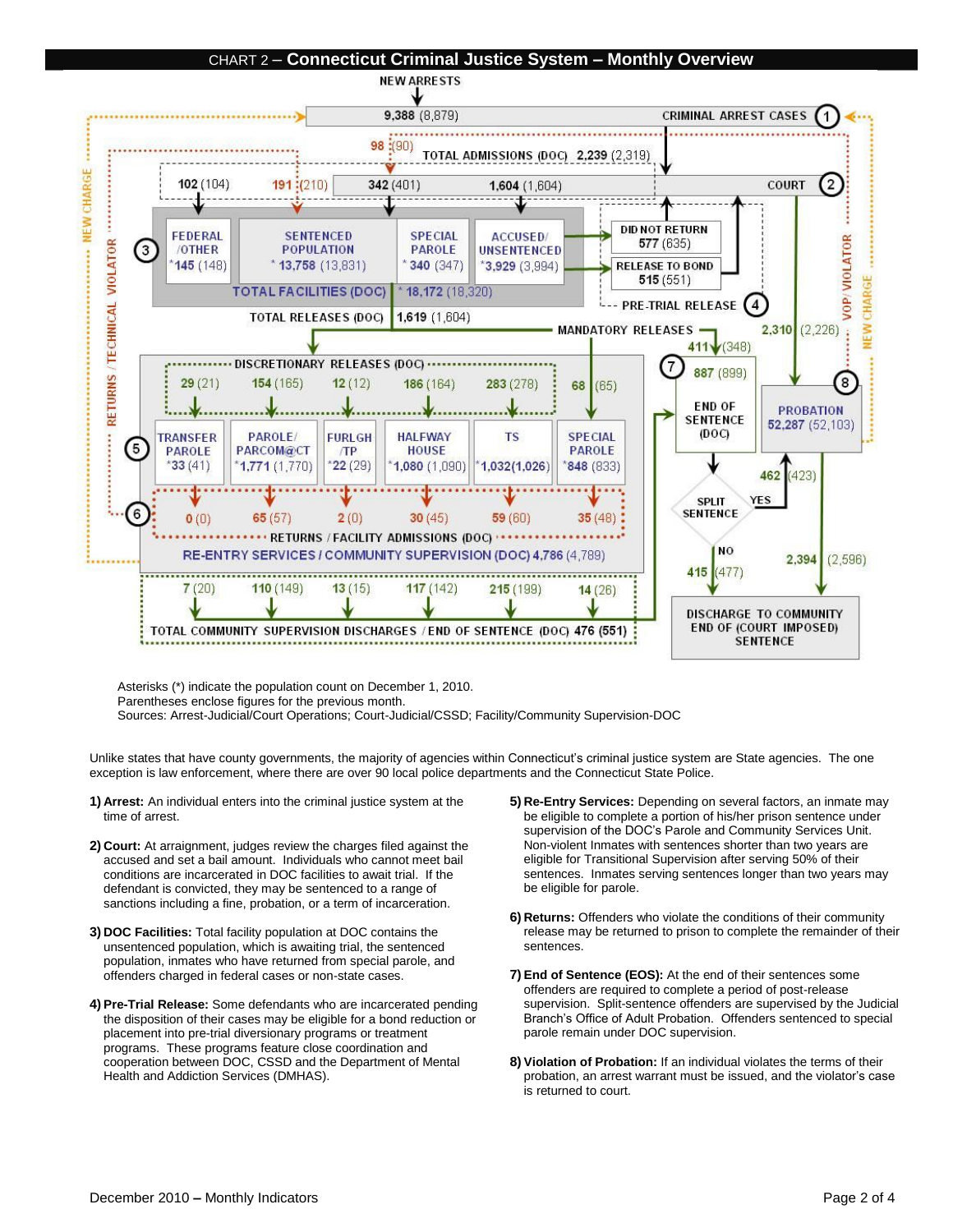

Asterisks (\*) indicate the population count on December 1, 2010. Parentheses enclose figures for the previous month.

Sources: Arrest-Judicial/Court Operations; Court-Judicial/CSSD; Facility/Community Supervision-DOC

Unlike states that have county governments, the majority of agencies within Connecticut's criminal justice system are State agencies. The one exception is law enforcement, where there are over 90 local police departments and the Connecticut State Police.

- **1) Arrest:** An individual enters into the criminal justice system at the time of arrest.
- **2) Court:** At arraignment, judges review the charges filed against the accused and set a bail amount. Individuals who cannot meet bail conditions are incarcerated in DOC facilities to await trial. If the defendant is convicted, they may be sentenced to a range of sanctions including a fine, probation, or a term of incarceration.
- **3) DOC Facilities:** Total facility population at DOC contains the unsentenced population, which is awaiting trial, the sentenced population, inmates who have returned from special parole, and offenders charged in federal cases or non-state cases.
- **4) Pre-Trial Release:** Some defendants who are incarcerated pending the disposition of their cases may be eligible for a bond reduction or placement into pre-trial diversionary programs or treatment programs. These programs feature close coordination and cooperation between DOC, CSSD and the Department of Mental Health and Addiction Services (DMHAS).
- **5) Re-Entry Services:** Depending on several factors, an inmate may be eligible to complete a portion of his/her prison sentence under supervision of the DOC's Parole and Community Services Unit. Non-violent Inmates with sentences shorter than two years are eligible for Transitional Supervision after serving 50% of their sentences. Inmates serving sentences longer than two years may be eligible for parole.
- **6) Returns:** Offenders who violate the conditions of their community release may be returned to prison to complete the remainder of their sentences.
- **7) End of Sentence (EOS):** At the end of their sentences some offenders are required to complete a period of post-release supervision. Split-sentence offenders are supervised by the Judicial Branch's Office of Adult Probation. Offenders sentenced to special parole remain under DOC supervision.
- **8) Violation of Probation:** If an individual violates the terms of their probation, an arrest warrant must be issued, and the violator's case is returned to court.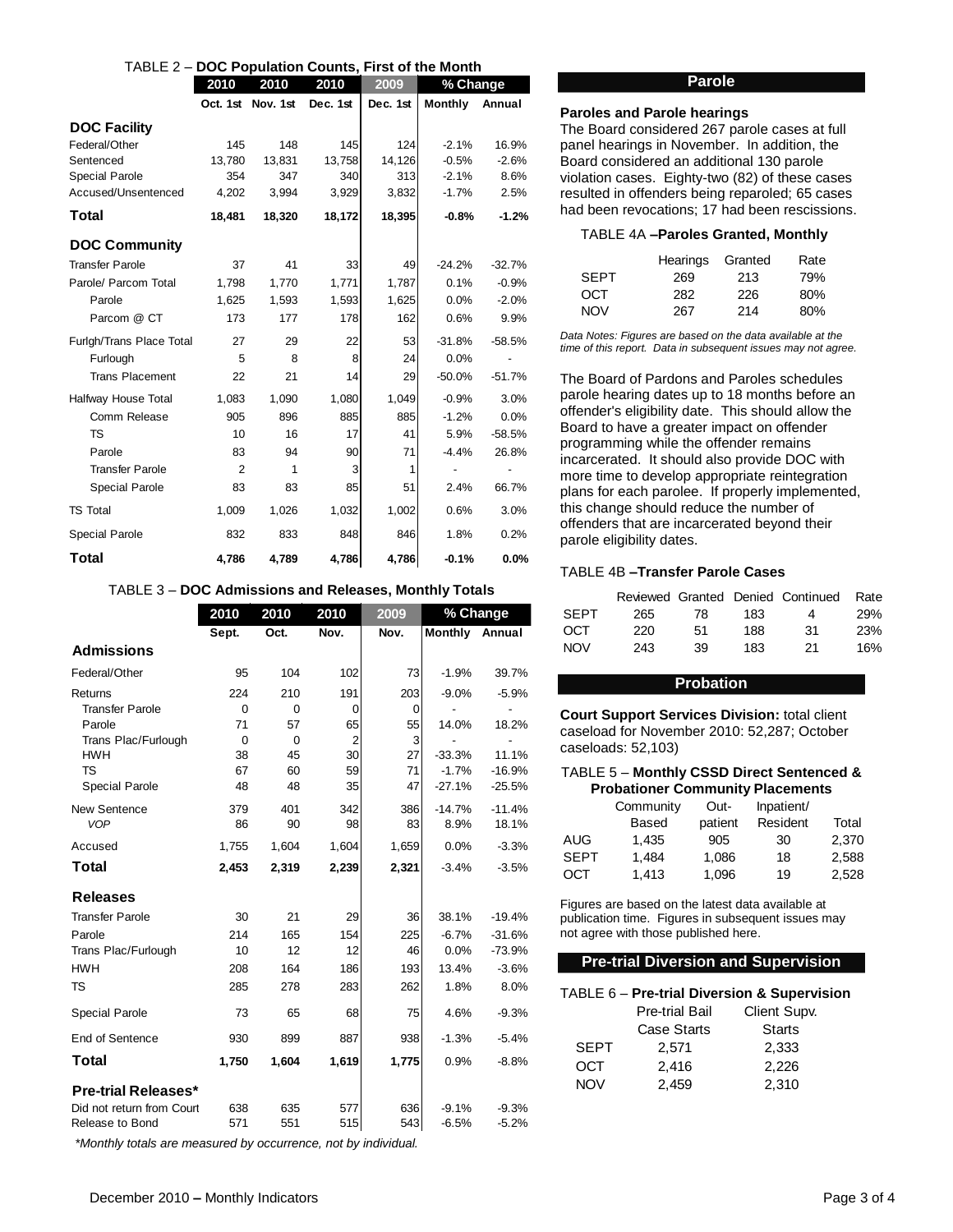| TABLE 2 - DOC Population Counts, First of the Month |                      |          |          |          |                              |                |
|-----------------------------------------------------|----------------------|----------|----------|----------|------------------------------|----------------|
|                                                     | 2010<br>2010<br>2010 |          | 2009     | % Change |                              |                |
|                                                     | Oct. 1st             | Nov. 1st | Dec. 1st | Dec. 1st | <b>Monthly</b>               | Annual         |
| <b>DOC Facility</b>                                 |                      |          |          |          |                              |                |
| Federal/Other                                       | 145                  | 148      | 145      | 124      | $-2.1%$                      | 16.9%          |
| Sentenced                                           | 13,780               | 13,831   | 13,758   | 14,126   | $-0.5%$                      | $-2.6%$        |
| <b>Special Parole</b>                               | 354                  | 347      | 340      | 313      | $-2.1%$                      | 8.6%           |
| Accused/Unsentenced                                 | 4,202                | 3,994    | 3,929    | 3,832    | $-1.7%$                      | 2.5%           |
| Total                                               | 18,481               | 18,320   | 18,172   | 18,395   | $-0.8%$                      | $-1.2%$        |
| <b>DOC Community</b>                                |                      |          |          |          |                              |                |
| <b>Transfer Parole</b>                              | 37                   | 41       | 33       | 49       | $-24.2%$                     | $-32.7%$       |
| Parole/ Parcom Total                                | 1,798                | 1,770    | 1,771    | 1,787    | 0.1%                         | $-0.9%$        |
| Parole                                              | 1,625                | 1,593    | 1,593    | 1,625    | 0.0%                         | $-2.0%$        |
| Parcom @ CT                                         | 173                  | 177      | 178      | 162      | 0.6%                         | 9.9%           |
| Furlgh/Trans Place Total                            | 27                   | 29       | 22       | 53       | $-31.8%$                     | $-58.5%$       |
| Furlough                                            | 5                    | 8        | 8        | 24       | 0.0%                         | $\overline{a}$ |
| <b>Trans Placement</b>                              | 22                   | 21       | 14       | 29       | $-50.0%$                     | $-51.7%$       |
| Halfway House Total                                 | 1,083                | 1,090    | 1,080    | 1,049    | $-0.9%$                      | 3.0%           |
| Comm Release                                        | 905                  | 896      | 885      | 885      | $-1.2%$                      | 0.0%           |
| <b>TS</b>                                           | 10                   | 16       | 17       | 41       | 5.9%                         | $-58.5%$       |
| Parole                                              | 83                   | 94       | 90       | 71       | $-4.4%$                      | 26.8%          |
| <b>Transfer Parole</b>                              | 2                    | 1        | 3        | 1        | $\qquad \qquad \blacksquare$ |                |
| <b>Special Parole</b>                               | 83                   | 83       | 85       | 51       | 2.4%                         | 66.7%          |
| <b>TS Total</b>                                     | 1,009                | 1,026    | 1,032    | 1,002    | 0.6%                         | 3.0%           |
| <b>Special Parole</b>                               | 832                  | 833      | 848      | 846      | 1.8%                         | 0.2%           |
| Total                                               | 4.786                | 4,789    | 4,786    | 4,786    | $-0.1%$                      | 0.0%           |

#### TABLE 3 – **DOC Admissions and Releases, Monthly Totals**

|                            | 2010        | 2010        | 2010           | 2009  |          | % Change |
|----------------------------|-------------|-------------|----------------|-------|----------|----------|
|                            | Sept.       | Oct.        | Nov.           | Nov.  | Monthly  | Annual   |
| <b>Admissions</b>          |             |             |                |       |          |          |
| Federal/Other              | 95          | 104         | 102            | 73    | $-1.9%$  | 39.7%    |
| Returns                    | 224         | 210         | 191            | 203   | $-9.0%$  | $-5.9%$  |
| <b>Transfer Parole</b>     | 0           | 0           | 0              | 0     |          |          |
| Parole                     | 71          | 57          | 65             | 55    | 14.0%    | 18.2%    |
| Trans Plac/Furlough        | $\mathbf 0$ | $\mathbf 0$ | $\overline{2}$ | 3     |          |          |
| <b>HWH</b>                 | 38          | 45          | 30             | 27    | $-33.3%$ | 11.1%    |
| <b>TS</b>                  | 67          | 60          | 59             | 71    | $-1.7%$  | $-16.9%$ |
| Special Parole             | 48          | 48          | 35             | 47    | $-27.1%$ | $-25.5%$ |
| New Sentence               | 379         | 401         | 342            | 386   | $-14.7%$ | $-11.4%$ |
| <b>VOP</b>                 | 86          | 90          | 98             | 83    | 8.9%     | 18.1%    |
| Accused                    | 1,755       | 1,604       | 1,604          | 1,659 | 0.0%     | $-3.3%$  |
| Total                      | 2,453       | 2,319       | 2,239          | 2,321 | $-3.4%$  | $-3.5%$  |
| <b>Releases</b>            |             |             |                |       |          |          |
| <b>Transfer Parole</b>     | 30          | 21          | 29             | 36    | 38.1%    | $-19.4%$ |
| Parole                     | 214         | 165         | 154            | 225   | $-6.7%$  | $-31.6%$ |
| Trans Plac/Furlough        | 10          | 12          | 12             | 46    | 0.0%     | $-73.9%$ |
| <b>HWH</b>                 | 208         | 164         | 186            | 193   | 13.4%    | $-3.6%$  |
| <b>TS</b>                  | 285         | 278         | 283            | 262   | 1.8%     | 8.0%     |
| <b>Special Parole</b>      | 73          | 65          | 68             | 75    | 4.6%     | $-9.3%$  |
| End of Sentence            | 930         | 899         | 887            | 938   | $-1.3%$  | $-5.4%$  |
| <b>Total</b>               | 1,750       | 1,604       | 1,619          | 1,775 | 0.9%     | $-8.8%$  |
| <b>Pre-trial Releases*</b> |             |             |                |       |          |          |
| Did not return from Court  | 638         | 635         | 577            | 636   | $-9.1%$  | $-9.3%$  |
| Release to Bond            | 571         | 551         | 515            | 543   | $-6.5%$  | $-5.2%$  |
|                            |             |             |                |       |          |          |

*\*Monthly totals are measured by occurrence, not by individual.* 

#### **Parole**

#### **Paroles and Parole hearings**

The Board considered 267 parole cases at full panel hearings in November. In addition, the Board considered an additional 130 parole violation cases. Eighty-two (82) of these cases resulted in offenders being reparoled; 65 cases had been revocations; 17 had been rescissions.

#### TABLE 4A **–Paroles Granted, Monthly**

|             | Hearings Granted |     | Rate |
|-------------|------------------|-----|------|
| <b>SFPT</b> | 269              | 213 | 79%  |
| OCT         | 282              | 226 | 80%  |
| <b>NOV</b>  | 267              | 214 | 80%  |

*Data Notes: Figures are based on the data available at the time of this report. Data in subsequent issues may not agree.*

The Board of Pardons and Paroles schedules parole hearing dates up to 18 months before an offender's eligibility date. This should allow the Board to have a greater impact on offender programming while the offender remains incarcerated. It should also provide DOC with more time to develop appropriate reintegration plans for each parolee. If properly implemented, this change should reduce the number of offenders that are incarcerated beyond their parole eligibility dates.

#### TABLE 4B **–Transfer Parole Cases**

|             |     |    |     | Reviewed Granted Denied Continued | Rate |
|-------------|-----|----|-----|-----------------------------------|------|
| <b>SFPT</b> | 265 | 78 | 183 | Δ                                 | 29%  |
| OCT         | 220 | 51 | 188 | 31                                | 23%  |
| <b>NOV</b>  | 243 | 39 | 183 | 21                                | 16%  |

#### **Probation**

**Court Support Services Division:** total client caseload for November 2010: 52,287; October caseloads: 52,103)

#### TABLE 5 – **Monthly CSSD Direct Sentenced & Probationer Community Placements**

|             | Community | Out-    | Inpatient/ |       |  |  |
|-------------|-----------|---------|------------|-------|--|--|
|             | Based     | patient | Resident   | Total |  |  |
| <b>AUG</b>  | 1.435     | 905     | 30         | 2,370 |  |  |
| <b>SEPT</b> | 1.484     | 1,086   | 18         | 2,588 |  |  |
| OCT         | 1.413     | 1,096   | 19         | 2,528 |  |  |

Figures are based on the latest data available at publication time. Figures in subsequent issues may not agree with those published here.

#### **Pre-trial Diversion and Supervision**

| TABLE 6 - Pre-trial Diversion & Supervision |                       |               |  |  |
|---------------------------------------------|-----------------------|---------------|--|--|
|                                             | <b>Pre-trial Bail</b> | Client Supv.  |  |  |
|                                             | <b>Case Starts</b>    | <b>Starts</b> |  |  |
| <b>SEPT</b>                                 | 2.571                 | 2,333         |  |  |
| OCT                                         | 2,416                 | 2,226         |  |  |
| <b>NOV</b>                                  | 2,459                 | 2,310         |  |  |